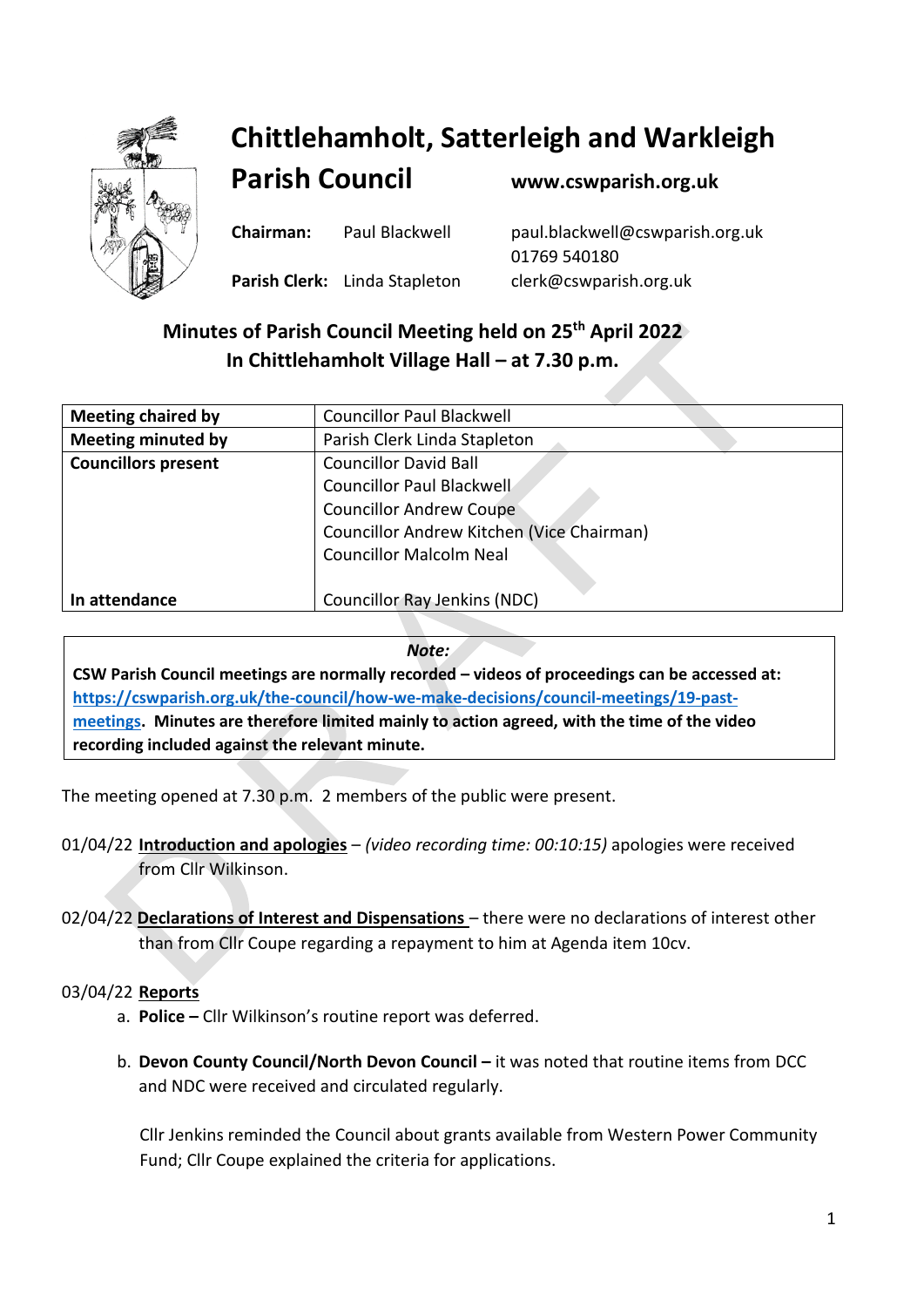

## **Chittlehamholt, Satterleigh and Warkleigh**

**Parish Council [www.cswparish.org.uk](http://www.cswparish.org.uk/)**

**Chairman:** Paul Blackwell [paul.blackwell@cswparish.org.uk](mailto:paul.blackwell@cswparish.org.uk) 01769 540180 **Parish Clerk:** Linda Stapleton [clerk@cswparish.org.uk](mailto:clerk@cswparish.org.uk)

### **Minutes of Parish Council Meeting held on 25 th April 2022 In Chittlehamholt Village Hall – at 7.30 p.m.**

| <b>Meeting chaired by</b>  | <b>Councillor Paul Blackwell</b>          |
|----------------------------|-------------------------------------------|
| <b>Meeting minuted by</b>  | Parish Clerk Linda Stapleton              |
| <b>Councillors present</b> | <b>Councillor David Ball</b>              |
|                            | Councillor Paul Blackwell                 |
|                            | <b>Councillor Andrew Coupe</b>            |
|                            | Councillor Andrew Kitchen (Vice Chairman) |
|                            | <b>Councillor Malcolm Neal</b>            |
|                            |                                           |
| In attendance              | <b>Councillor Ray Jenkins (NDC)</b>       |
|                            |                                           |

*Note:*

**CSW Parish Council meetings are normally recorded – videos of proceedings can be accessed at: [https://cswparish.org.uk/the-council/how-we-make-decisions/council-meetings/19-past](https://cswparish.org.uk/the-council/how-we-make-decisions/council-meetings/19-past-meetings)[meetings.](https://cswparish.org.uk/the-council/how-we-make-decisions/council-meetings/19-past-meetings) Minutes are therefore limited mainly to action agreed, with the time of the video recording included against the relevant minute.**

The meeting opened at 7.30 p.m. 2 members of the public were present.

- 01/04/22 **Introduction and apologies** *(video recording time: 00:10:15)* apologies were received from Cllr Wilkinson.
- 02/04/22 **Declarations of Interest and Dispensations** there were no declarations of interest other than from Cllr Coupe regarding a repayment to him at Agenda item 10cv.

#### 03/04/22 **Reports**

- a. **Police –** Cllr Wilkinson's routine report was deferred.
- b. **Devon County Council/North Devon Council –** it was noted that routine items from DCC and NDC were received and circulated regularly.

Cllr Jenkins reminded the Council about grants available from Western Power Community Fund; Cllr Coupe explained the criteria for applications.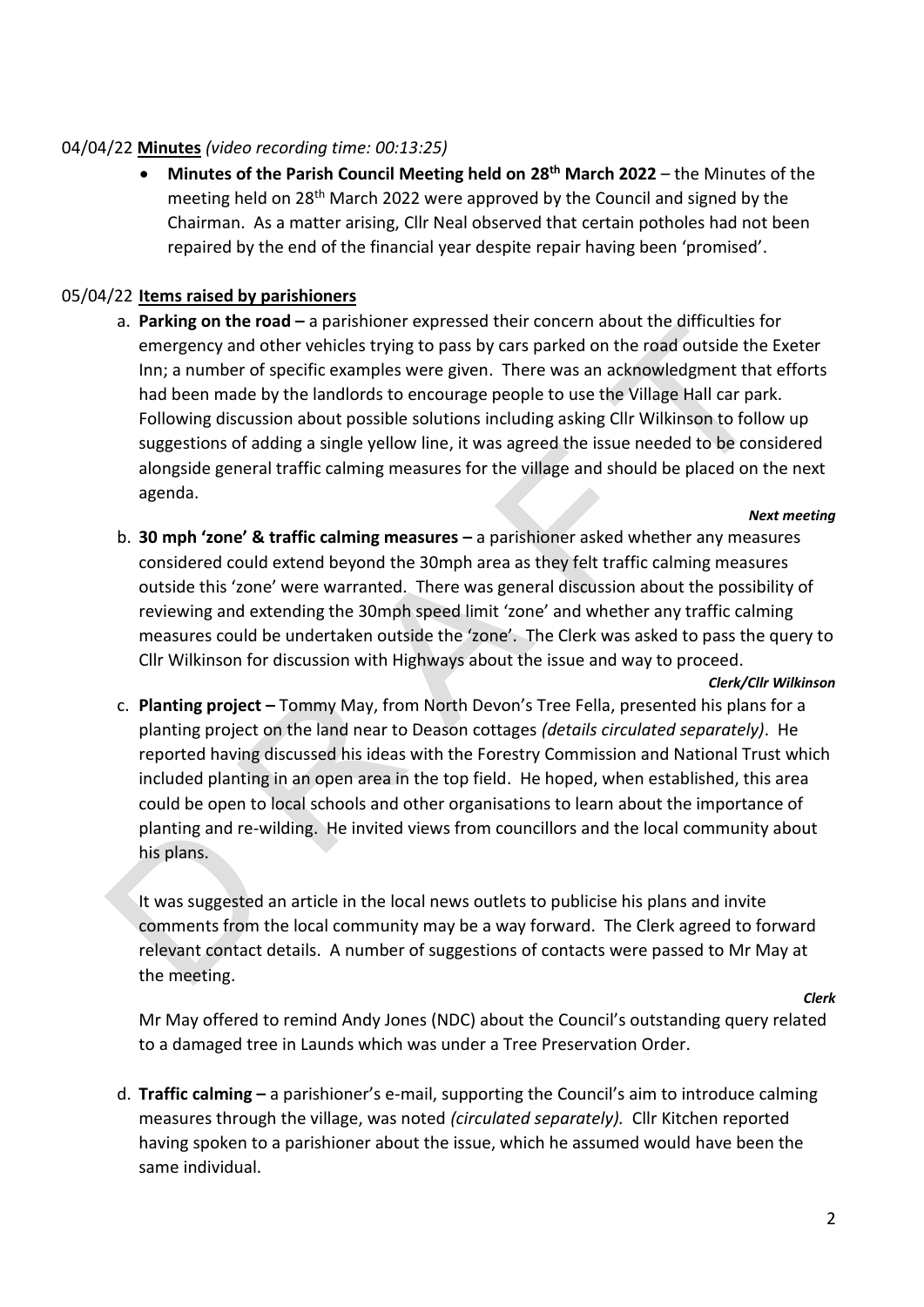#### 04/04/22 **Minutes** *(video recording time: 00:13:25)*

• **Minutes of the Parish Council Meeting held on 28th March 2022** – the Minutes of the meeting held on 28th March 2022 were approved by the Council and signed by the Chairman. As a matter arising, Cllr Neal observed that certain potholes had not been repaired by the end of the financial year despite repair having been 'promised'.

#### 05/04/22 **Items raised by parishioners**

a. **Parking on the road –** a parishioner expressed their concern about the difficulties for emergency and other vehicles trying to pass by cars parked on the road outside the Exeter Inn; a number of specific examples were given. There was an acknowledgment that efforts had been made by the landlords to encourage people to use the Village Hall car park. Following discussion about possible solutions including asking Cllr Wilkinson to follow up suggestions of adding a single yellow line, it was agreed the issue needed to be considered alongside general traffic calming measures for the village and should be placed on the next agenda.

#### *Next meeting*

b. **30 mph 'zone' & traffic calming measures –** a parishioner asked whether any measures considered could extend beyond the 30mph area as they felt traffic calming measures outside this 'zone' were warranted. There was general discussion about the possibility of reviewing and extending the 30mph speed limit 'zone' and whether any traffic calming measures could be undertaken outside the 'zone'. The Clerk was asked to pass the query to Cllr Wilkinson for discussion with Highways about the issue and way to proceed.

*Clerk/Cllr Wilkinson*

c. **Planting project –** Tommy May, from North Devon's Tree Fella, presented his plans for a planting project on the land near to Deason cottages *(details circulated separately)*. He reported having discussed his ideas with the Forestry Commission and National Trust which included planting in an open area in the top field. He hoped, when established, this area could be open to local schools and other organisations to learn about the importance of planting and re-wilding. He invited views from councillors and the local community about his plans.

It was suggested an article in the local news outlets to publicise his plans and invite comments from the local community may be a way forward. The Clerk agreed to forward relevant contact details. A number of suggestions of contacts were passed to Mr May at the meeting.

*Clerk*

Mr May offered to remind Andy Jones (NDC) about the Council's outstanding query related to a damaged tree in Launds which was under a Tree Preservation Order.

d. **Traffic calming –** a parishioner's e-mail, supporting the Council's aim to introduce calming measures through the village, was noted *(circulated separately).* Cllr Kitchen reported having spoken to a parishioner about the issue, which he assumed would have been the same individual.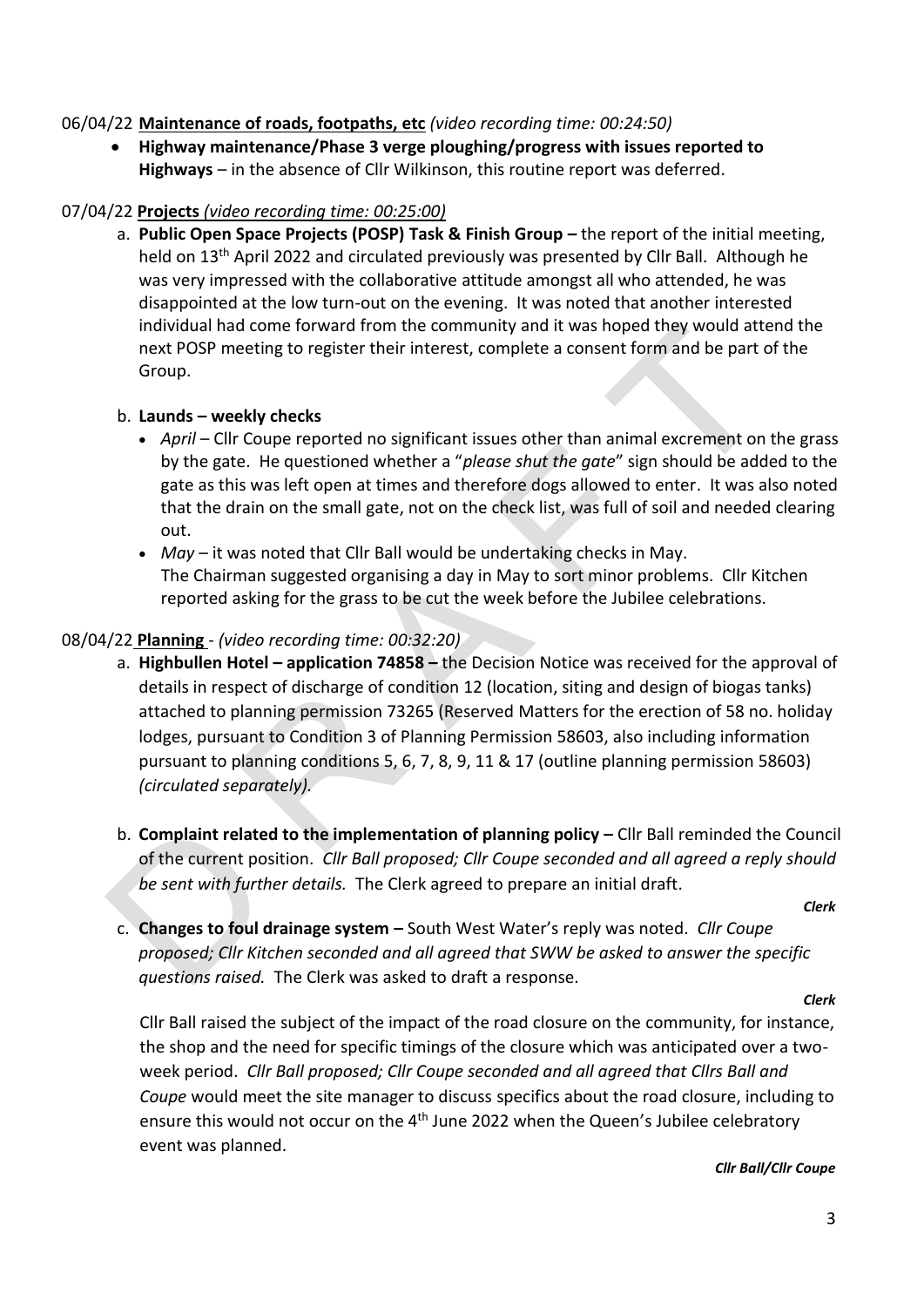#### 06/04/22 **Maintenance of roads, footpaths, etc** *(video recording time: 00:24:50)*

• **Highway maintenance/Phase 3 verge ploughing/progress with issues reported to Highways** – in the absence of Cllr Wilkinson, this routine report was deferred.

#### 07/04/22 **Projects** *(video recording time: 00:25:00)*

a. **Public Open Space Projects (POSP) Task & Finish Group –** the report of the initial meeting, held on 13<sup>th</sup> April 2022 and circulated previously was presented by Cllr Ball. Although he was very impressed with the collaborative attitude amongst all who attended, he was disappointed at the low turn-out on the evening. It was noted that another interested individual had come forward from the community and it was hoped they would attend the next POSP meeting to register their interest, complete a consent form and be part of the Group.

#### b. **Launds – weekly checks**

- *April* Cllr Coupe reported no significant issues other than animal excrement on the grass by the gate. He questioned whether a "*please shut the gate*" sign should be added to the gate as this was left open at times and therefore dogs allowed to enter. It was also noted that the drain on the small gate, not on the check list, was full of soil and needed clearing out.
- *May*  it was noted that Cllr Ball would be undertaking checks in May. The Chairman suggested organising a day in May to sort minor problems. Cllr Kitchen reported asking for the grass to be cut the week before the Jubilee celebrations.

#### 08/04/22 **Planning** - *(video recording time: 00:32:20)*

- a. **Highbullen Hotel – application 74858 –** the Decision Notice was received for the approval of details in respect of discharge of condition 12 (location, siting and design of biogas tanks) attached to planning permission 73265 (Reserved Matters for the erection of 58 no. holiday lodges, pursuant to Condition 3 of Planning Permission 58603, also including information pursuant to planning conditions 5, 6, 7, 8, 9, 11 & 17 (outline planning permission 58603) *(circulated separately).*
- b. **Complaint related to the implementation of planning policy Cllr Ball reminded the Council** of the current position. *Cllr Ball proposed; Cllr Coupe seconded and all agreed a reply should be sent with further details.* The Clerk agreed to prepare an initial draft.

*Clerk*

c. **Changes to foul drainage system –** South West Water's reply was noted. *Cllr Coupe proposed; Cllr Kitchen seconded and all agreed that SWW be asked to answer the specific questions raised.* The Clerk was asked to draft a response.

*Clerk*

Cllr Ball raised the subject of the impact of the road closure on the community, for instance, the shop and the need for specific timings of the closure which was anticipated over a twoweek period. *Cllr Ball proposed; Cllr Coupe seconded and all agreed that Cllrs Ball and Coupe* would meet the site manager to discuss specifics about the road closure, including to ensure this would not occur on the 4<sup>th</sup> June 2022 when the Queen's Jubilee celebratory event was planned.

*Cllr Ball/Cllr Coupe*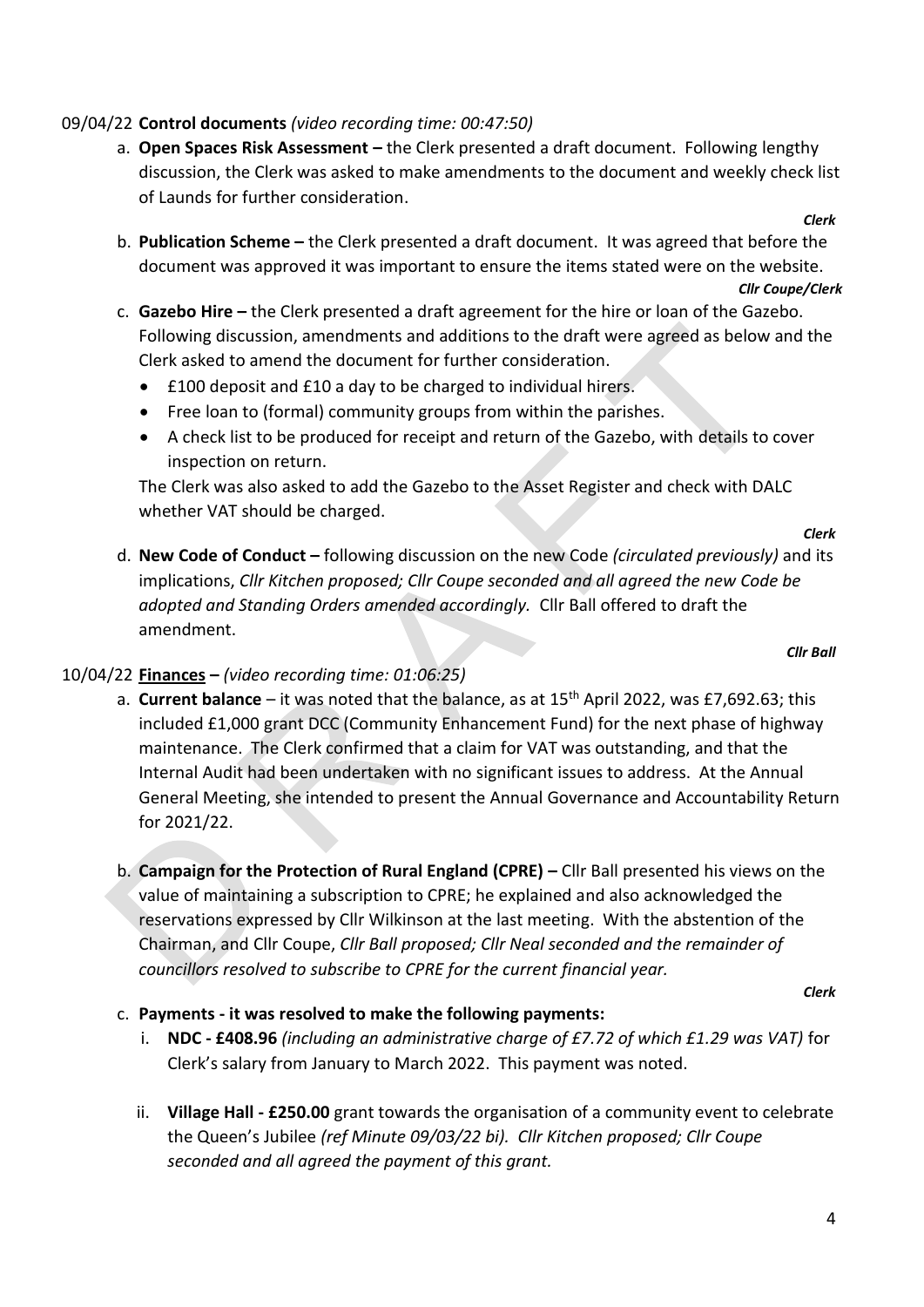#### 09/04/22 **Control documents** *(video recording time: 00:47:50)*

- a. **Open Spaces Risk Assessment –** the Clerk presented a draft document. Following lengthy discussion, the Clerk was asked to make amendments to the document and weekly check list of Launds for further consideration.
- b. **Publication Scheme –** the Clerk presented a draft document. It was agreed that before the document was approved it was important to ensure the items stated were on the website.

#### *Cllr Coupe/Clerk*

*Clerk*

- c. **Gazebo Hire –** the Clerk presented a draft agreement for the hire or loan of the Gazebo. Following discussion, amendments and additions to the draft were agreed as below and the Clerk asked to amend the document for further consideration.
	- £100 deposit and £10 a day to be charged to individual hirers.
	- Free loan to (formal) community groups from within the parishes.
	- A check list to be produced for receipt and return of the Gazebo, with details to cover inspection on return.

The Clerk was also asked to add the Gazebo to the Asset Register and check with DALC whether VAT should be charged.

*Clerk*

*Cllr Ball*

d. **New Code of Conduct –** following discussion on the new Code *(circulated previously)* and its implications, *Cllr Kitchen proposed; Cllr Coupe seconded and all agreed the new Code be adopted and Standing Orders amended accordingly.* Cllr Ball offered to draft the amendment.

#### 10/04/22 **Finances –** *(video recording time: 01:06:25)*

- a. **Current balance** it was noted that the balance, as at 15<sup>th</sup> April 2022, was £7,692.63; this included £1,000 grant DCC (Community Enhancement Fund) for the next phase of highway maintenance. The Clerk confirmed that a claim for VAT was outstanding, and that the Internal Audit had been undertaken with no significant issues to address. At the Annual General Meeting, she intended to present the Annual Governance and Accountability Return for 2021/22.
- b. **Campaign for the Protection of Rural England (CPRE) –** Cllr Ball presented his views on the value of maintaining a subscription to CPRE; he explained and also acknowledged the reservations expressed by Cllr Wilkinson at the last meeting. With the abstention of the Chairman, and Cllr Coupe, *Cllr Ball proposed; Cllr Neal seconded and the remainder of councillors resolved to subscribe to CPRE for the current financial year.*

*Clerk*

#### c. **Payments - it was resolved to make the following payments:**

- i. **NDC - £408.96** *(including an administrative charge of £7.72 of which £1.29 was VAT)* for Clerk's salary from January to March 2022. This payment was noted.
- ii. **Village Hall - £250.00** grant towards the organisation of a community event to celebrate the Queen's Jubilee *(ref Minute 09/03/22 bi). Cllr Kitchen proposed; Cllr Coupe seconded and all agreed the payment of this grant.*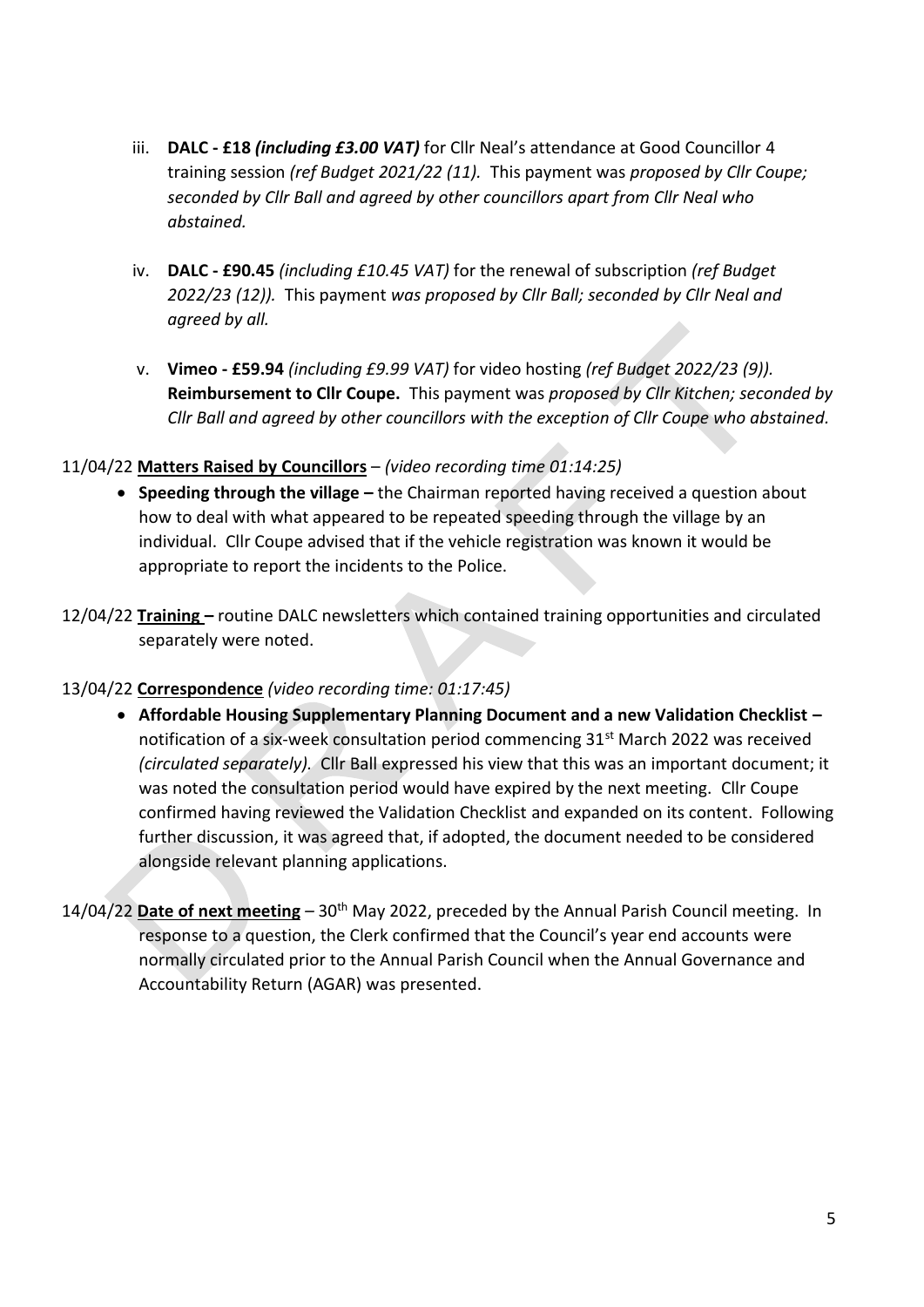- iii. **DALC - £18** *(including £3.00 VAT)* for Cllr Neal's attendance at Good Councillor 4 training session *(ref Budget 2021/22 (11).* This payment was *proposed by Cllr Coupe; seconded by Cllr Ball and agreed by other councillors apart from Cllr Neal who abstained.*
- iv. **DALC - £90.45** *(including £10.45 VAT)* for the renewal of subscription *(ref Budget 2022/23 (12)).* This payment *was proposed by Cllr Ball; seconded by Cllr Neal and agreed by all.*
- v. **Vimeo - £59.94** *(including £9.99 VAT)* for video hosting *(ref Budget 2022/23 (9)).*  **Reimbursement to Cllr Coupe.** This payment was *proposed by Cllr Kitchen; seconded by Cllr Ball and agreed by other councillors with the exception of Cllr Coupe who abstained.*

#### 11/04/22 **Matters Raised by Councillors** – *(video recording time 01:14:25)*

- **Speeding through the village –** the Chairman reported having received a question about how to deal with what appeared to be repeated speeding through the village by an individual. Cllr Coupe advised that if the vehicle registration was known it would be appropriate to report the incidents to the Police.
- 12/04/22 **Training –** routine DALC newsletters which contained training opportunities and circulated separately were noted.

#### 13/04/22 **Correspondence** *(video recording time: 01:17:45)*

- **Affordable Housing Supplementary Planning Document and a new Validation Checklist –** notification of a six-week consultation period commencing 31<sup>st</sup> March 2022 was received *(circulated separately).* Cllr Ball expressed his view that this was an important document; it was noted the consultation period would have expired by the next meeting. Cllr Coupe confirmed having reviewed the Validation Checklist and expanded on its content. Following further discussion, it was agreed that, if adopted, the document needed to be considered alongside relevant planning applications.
- 14/04/22 **Date of next meeting** *–* 30th May 2022, preceded by the Annual Parish Council meeting. In response to a question, the Clerk confirmed that the Council's year end accounts were normally circulated prior to the Annual Parish Council when the Annual Governance and Accountability Return (AGAR) was presented.